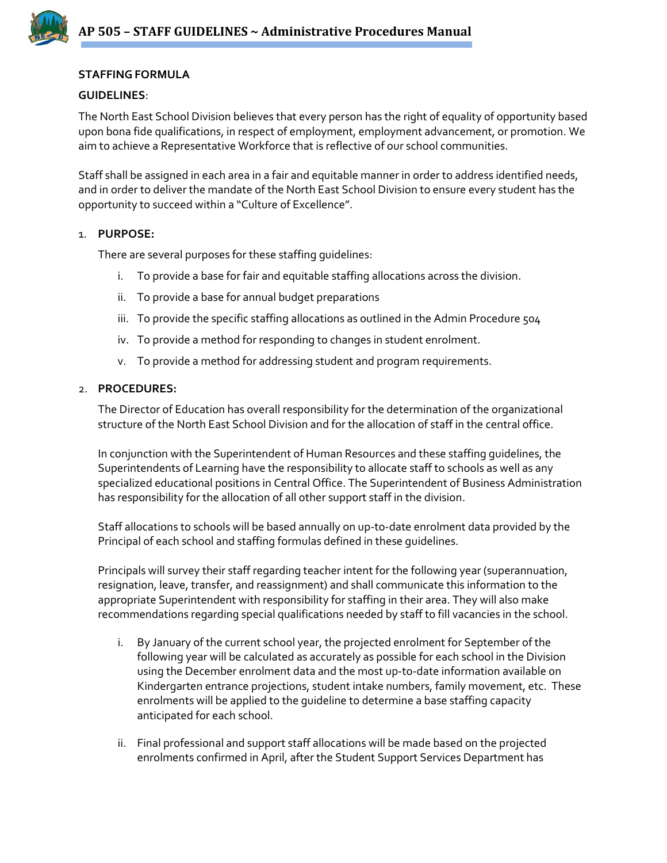

### **STAFFING FORMULA**

## **GUIDELINES**:

The North East School Division believes that every person has the right of equality of opportunity based upon bona fide qualifications, in respect of employment, employment advancement, or promotion. We aim to achieve a Representative Workforce that is reflective of our school communities.

Staff shall be assigned in each area in a fair and equitable manner in order to address identified needs, and in order to deliver the mandate of the North East School Division to ensure every student has the opportunity to succeed within a "Culture of Excellence".

### 1. **PURPOSE:**

There are several purposes for these staffing guidelines:

- i. To provide a base for fair and equitable staffing allocations across the division.
- ii. To provide a base for annual budget preparations
- iii. To provide the specific staffing allocations as outlined in the Admin Procedure 504
- iv. To provide a method for responding to changes in student enrolment.
- v. To provide a method for addressing student and program requirements.

### 2. **PROCEDURES:**

The Director of Education has overall responsibility for the determination of the organizational structure of the North East School Division and for the allocation of staff in the central office.

In conjunction with the Superintendent of Human Resources and these staffing guidelines, the Superintendents of Learning have the responsibility to allocate staff to schools as well as any specialized educational positions in Central Office. The Superintendent of Business Administration has responsibility for the allocation of all other support staff in the division.

Staff allocations to schools will be based annually on up-to-date enrolment data provided by the Principal of each school and staffing formulas defined in these guidelines.

Principals will survey their staff regarding teacher intent for the following year (superannuation, resignation, leave, transfer, and reassignment) and shall communicate this information to the appropriate Superintendent with responsibility for staffing in their area. They will also make recommendations regarding special qualifications needed by staff to fill vacancies in the school.

- i. By January of the current school year, the projected enrolment for September of the following year will be calculated as accurately as possible for each school in the Division using the December enrolment data and the most up-to-date information available on Kindergarten entrance projections, student intake numbers, family movement, etc. These enrolments will be applied to the guideline to determine a base staffing capacity anticipated for each school.
- ii. Final professional and support staff allocations will be made based on the projected enrolments confirmed in April, after the Student Support Services Department has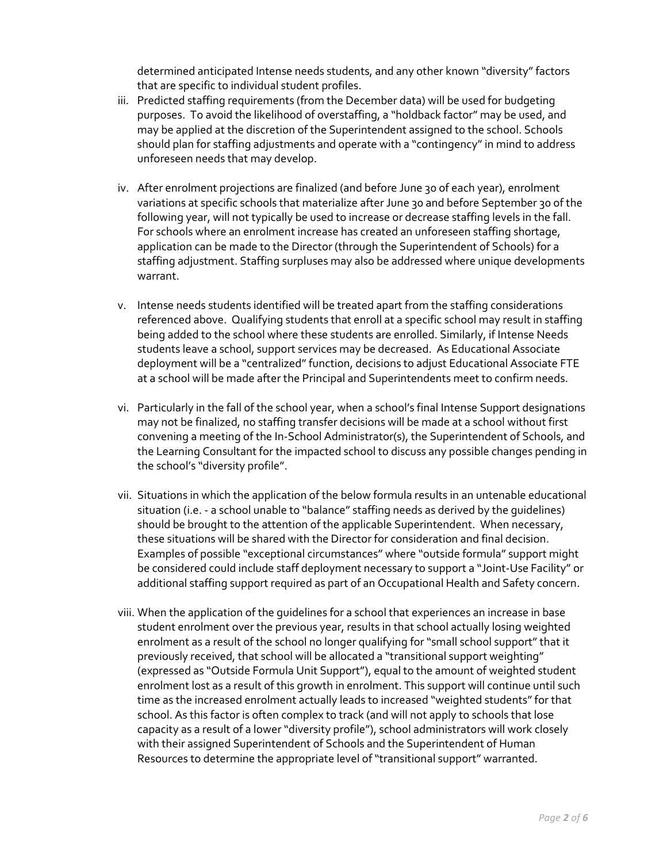determined anticipated Intense needs students, and any other known "diversity" factors that are specific to individual student profiles.

- iii. Predicted staffing requirements (from the December data) will be used for budgeting purposes. To avoid the likelihood of overstaffing, a "holdback factor" may be used, and may be applied at the discretion of the Superintendent assigned to the school. Schools should plan for staffing adjustments and operate with a "contingency" in mind to address unforeseen needs that may develop.
- iv. After enrolment projections are finalized (and before June 30 of each year), enrolment variations at specific schools that materialize after June 30 and before September 30 of the following year, will not typically be used to increase or decrease staffing levels in the fall. For schools where an enrolment increase has created an unforeseen staffing shortage, application can be made to the Director (through the Superintendent of Schools) for a staffing adjustment. Staffing surpluses may also be addressed where unique developments warrant.
- v. Intense needs students identified will be treated apart from the staffing considerations referenced above. Qualifying students that enroll at a specific school may result in staffing being added to the school where these students are enrolled. Similarly, if Intense Needs students leave a school, support services may be decreased. As Educational Associate deployment will be a "centralized" function, decisions to adjust Educational Associate FTE at a school will be made after the Principal and Superintendents meet to confirm needs.
- vi. Particularly in the fall of the school year, when a school's final Intense Support designations may not be finalized, no staffing transfer decisions will be made at a school without first convening a meeting of the In-School Administrator(s), the Superintendent of Schools, and the Learning Consultant for the impacted school to discuss any possible changes pending in the school's "diversity profile".
- vii. Situations in which the application of the below formula results in an untenable educational situation (i.e. - a school unable to "balance" staffing needs as derived by the guidelines) should be brought to the attention of the applicable Superintendent. When necessary, these situations will be shared with the Director for consideration and final decision. Examples of possible "exceptional circumstances" where "outside formula" support might be considered could include staff deployment necessary to support a "Joint-Use Facility" or additional staffing support required as part of an Occupational Health and Safety concern.
- viii. When the application of the guidelines for a school that experiences an increase in base student enrolment over the previous year, results in that school actually losing weighted enrolment as a result of the school no longer qualifying for "small school support" that it previously received, that school will be allocated a "transitional support weighting" (expressed as "Outside Formula Unit Support"), equal to the amount of weighted student enrolment lost as a result of this growth in enrolment. This support will continue until such time as the increased enrolment actually leads to increased "weighted students" for that school. As this factor is often complex to track (and will not apply to schools that lose capacity as a result of a lower "diversity profile"), school administrators will work closely with their assigned Superintendent of Schools and the Superintendent of Human Resources to determine the appropriate level of "transitional support" warranted.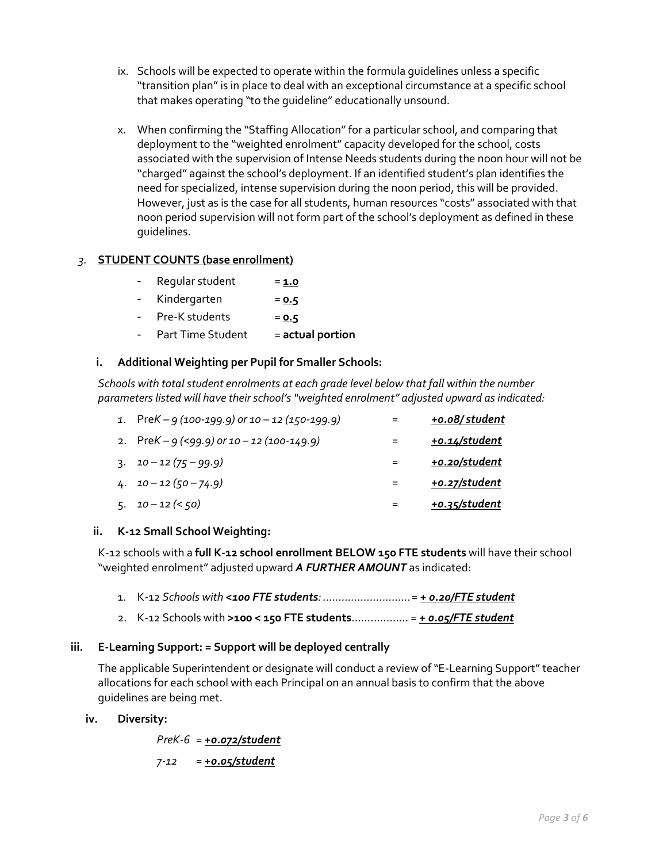- ix. Schools will be expected to operate within the formula guidelines unless a specific "transition plan" is in place to deal with an exceptional circumstance at a specific school that makes operating "to the guideline" educationally unsound.
- x. When confirming the "Staffing Allocation" for a particular school, and comparing that deployment to the "weighted enrolment" capacity developed for the school, costs associated with the supervision of Intense Needs students during the noon hour will not be "charged" against the school's deployment. If an identified student's plan identifies the need for specialized, intense supervision during the noon period, this will be provided. However, just as is the case for all students, human resources "costs" associated with that noon period supervision will not form part of the school's deployment as defined in these guidelines.

# *3.* **STUDENT COUNTS (base enrollment)**

- Reqular student = **1.0**
- Kindergarten = 0.5
- $-$  Pre-K students  $= 0.5$
- Part Time Student = **actual portion**

### **i. Additional Weighting per Pupil for Smaller Schools:**

*Schools with total student enrolments at each grade level below that fall within the number parameters listed will have their school's "weighted enrolment" adjusted upward as indicated:*

| 1. $PreK - g (100-199.9)$ or $10 - 12 (150-199.9)$ | <u>+0.08/student</u> |
|----------------------------------------------------|----------------------|
| 2. PreK - $9$ (<99.9) or 10 - 12 (100-149.9)       | +0.14/student        |
| $3. \quad 10 - 12(75 - 99.9)$                      | +o.2o/student        |
| 4. $10 - 12(50 - 74.9)$                            | <u>+0.27/student</u> |
| $5. 10 - 12 \approx 50$                            | <u>+0.35/student</u> |

### **ii. K-12 Small School Weighting:**

K-12 schools with a **full K-12 school enrollment BELOW 150 FTE students** will have their school "weighted enrolment" adjusted upward *A FURTHER AMOUNT* as indicated:

- 1. K-12 *Schools with <100 FTE students: ............................= + 0.20/FTE student*
- 2. K-12 Schools with **>100 < 150 FTE students**……………… = *+ 0.05/FTE student*

### **iii. E-Learning Support: = Support will be deployed centrally**

The applicable Superintendent or designate will conduct a review of "E-Learning Support" teacher allocations for each school with each Principal on an annual basis to confirm that the above guidelines are being met.

**iv. Diversity:**

*PreK-6 = +0.072/student*

*7-12 = +0.05/student*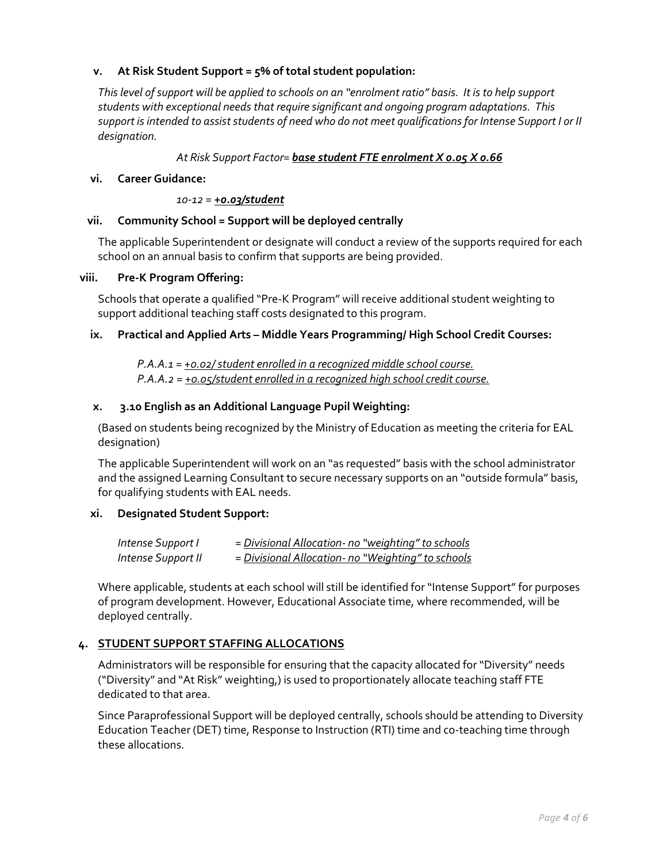## **v. At Risk Student Support = 5% of total student population:**

*This level of support will be applied to schools on an "enrolment ratio" basis. It is to help support students with exceptional needs that require significant and ongoing program adaptations. This support is intended to assist students of need who do not meet qualifications for Intense Support I or II designation.*

### *At Risk Support Factor= base student FTE enrolment X 0.05 X 0.66*

#### **vi. Career Guidance:**

#### *10-12 = +0.03/student*

### **vii. Community School = Support will be deployed centrally**

The applicable Superintendent or designate will conduct a review of the supports required for each school on an annual basis to confirm that supports are being provided.

#### **viii. Pre-K Program Offering:**

Schools that operate a qualified "Pre-K Program" will receive additional student weighting to support additional teaching staff costs designated to this program.

### **ix. Practical and Applied Arts – Middle Years Programming/ High School Credit Courses:**

### *P.A.A.1 = +0.02/student enrolled in a recognized middle school course. P.A.A.2* = *+0.05/student enrolled in a recognized high school credit course.*

#### **x. 3.10 English as an Additional Language Pupil Weighting:**

(Based on students being recognized by the Ministry of Education as meeting the criteria for EAL designation)

The applicable Superintendent will work on an "as requested" basis with the school administrator and the assigned Learning Consultant to secure necessary supports on an "outside formula" basis, for qualifying students with EAL needs.

### **xi. Designated Student Support:**

| Intense Support I         | <u> = Divisional Allocation- no "weighting" to schools</u> |  |
|---------------------------|------------------------------------------------------------|--|
| <b>Intense Support II</b> | = Divisional Allocation- no "Weighting" to schools         |  |

Where applicable, students at each school will still be identified for "Intense Support" for purposes of program development. However, Educational Associate time, where recommended, will be deployed centrally.

### **4. STUDENT SUPPORT STAFFING ALLOCATIONS**

Administrators will be responsible for ensuring that the capacity allocated for "Diversity" needs ("Diversity" and "At Risk" weighting,) is used to proportionately allocate teaching staff FTE dedicated to that area.

Since Paraprofessional Support will be deployed centrally, schools should be attending to Diversity Education Teacher (DET) time, Response to Instruction (RTI) time and co-teaching time through these allocations.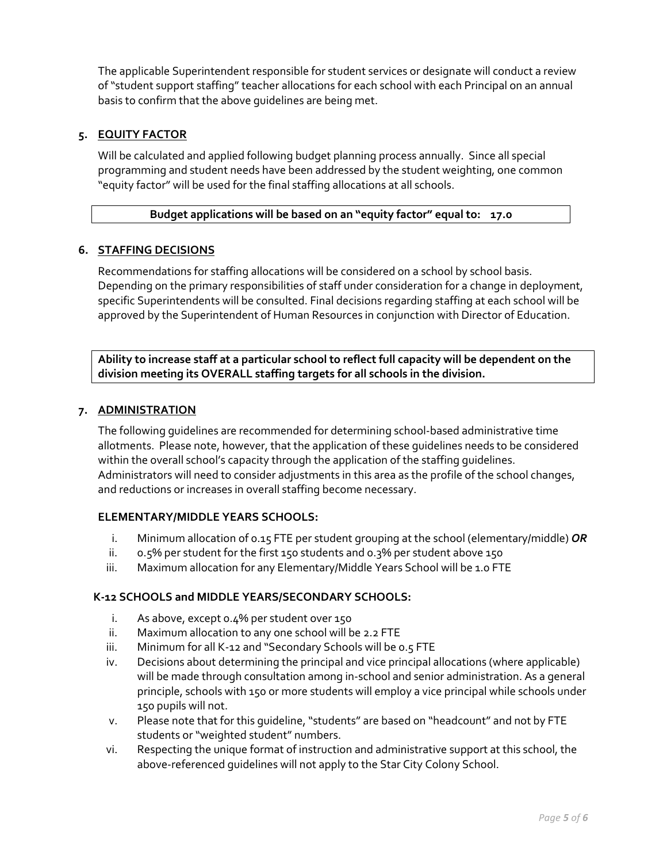The applicable Superintendent responsible for student services or designate will conduct a review of "student support staffing" teacher allocations for each school with each Principal on an annual basis to confirm that the above guidelines are being met.

# **5. EQUITY FACTOR**

Will be calculated and applied following budget planning process annually. Since all special programming and student needs have been addressed by the student weighting, one common "equity factor" will be used for the final staffing allocations at all schools.

## **Budget applications will be based on an "equity factor" equal to: 17.0**

# **6. STAFFING DECISIONS**

Recommendations for staffing allocations will be considered on a school by school basis. Depending on the primary responsibilities of staff under consideration for a change in deployment, specific Superintendents will be consulted. Final decisions regarding staffing at each school will be approved by the Superintendent of Human Resources in conjunction with Director of Education.

**Ability to increase staff at a particular school to reflect full capacity will be dependent on the division meeting its OVERALL staffing targets for all schools in the division.**

## **7. ADMINISTRATION**

The following guidelines are recommended for determining school-based administrative time allotments. Please note, however, that the application of these guidelines needs to be considered within the overall school's capacity through the application of the staffing guidelines. Administrators will need to consider adjustments in this area as the profile of the school changes, and reductions or increases in overall staffing become necessary.

# **ELEMENTARY/MIDDLE YEARS SCHOOLS:**

- i. Minimum allocation of 0.15 FTE per student grouping at the school (elementary/middle) *OR*
- ii. 0.5% per student for the first 150 students and 0.3% per student above 150
- iii. Maximum allocation for any Elementary/Middle Years School will be 1.0 FTE

# **K-12 SCHOOLS and MIDDLE YEARS/SECONDARY SCHOOLS:**

- i. As above, except 0.4% per student over 150
- ii. Maximum allocation to any one school will be 2.2 FTE
- iii. Minimum for all K-12 and "Secondary Schools will be 0.5 FTE
- iv. Decisions about determining the principal and vice principal allocations (where applicable) will be made through consultation among in-school and senior administration. As a general principle, schools with 150 or more students will employ a vice principal while schools under 150 pupils will not.
- v. Please note that for this guideline, "students" are based on "headcount" and not by FTE students or "weighted student" numbers.
- vi. Respecting the unique format of instruction and administrative support at this school, the above-referenced guidelines will not apply to the Star City Colony School.